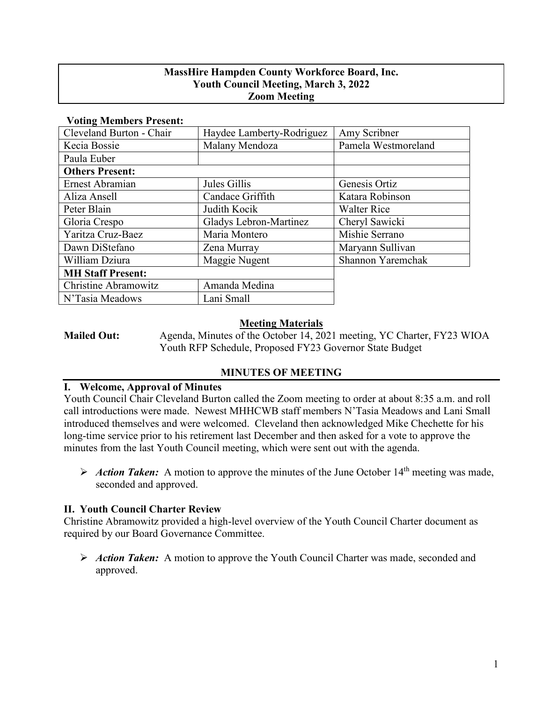### **MassHire Hampden County Workforce Board, Inc. Youth Council Meeting, March 3, 2022 Zoom Meeting**

| $\sim$ come $\sim$ compared to cover $\sim$ |                           |                     |
|---------------------------------------------|---------------------------|---------------------|
| Cleveland Burton - Chair                    | Haydee Lamberty-Rodriguez | Amy Scribner        |
| Kecia Bossie                                | Malany Mendoza            | Pamela Westmoreland |
| Paula Euber                                 |                           |                     |
| <b>Others Present:</b>                      |                           |                     |
| Ernest Abramian                             | Jules Gillis              | Genesis Ortiz       |
| Aliza Ansell                                | Candace Griffith          | Katara Robinson     |
| Peter Blain                                 | Judith Kocik              | <b>Walter Rice</b>  |
| Gloria Crespo                               | Gladys Lebron-Martinez    | Cheryl Sawicki      |
| Yaritza Cruz-Baez                           | Maria Montero             | Mishie Serrano      |
| Dawn DiStefano                              | Zena Murray               | Maryann Sullivan    |
| William Dziura                              | Maggie Nugent             | Shannon Yaremchak   |
| <b>MH Staff Present:</b>                    |                           |                     |
| Christine Abramowitz                        | Amanda Medina             |                     |
| N'Tasia Meadows                             | Lani Small                |                     |
|                                             |                           |                     |

#### **Voting Members Present:**

#### **Meeting Materials**

**Mailed Out:** Agenda, Minutes of the October 14, 2021 meeting, YC Charter, FY23 WIOA Youth RFP Schedule, Proposed FY23 Governor State Budget

# **MINUTES OF MEETING**

#### **I. Welcome, Approval of Minutes**

Youth Council Chair Cleveland Burton called the Zoom meeting to order at about 8:35 a.m. and roll call introductions were made. Newest MHHCWB staff members N'Tasia Meadows and Lani Small introduced themselves and were welcomed. Cleveland then acknowledged Mike Chechette for his long-time service prior to his retirement last December and then asked for a vote to approve the minutes from the last Youth Council meeting, which were sent out with the agenda.

Action Taken: A motion to approve the minutes of the June October  $14<sup>th</sup>$  meeting was made, seconded and approved.

## **II. Youth Council Charter Review**

Christine Abramowitz provided a high-level overview of the Youth Council Charter document as required by our Board Governance Committee.

 *Action Taken:*A motion to approve the Youth Council Charter was made, seconded and approved.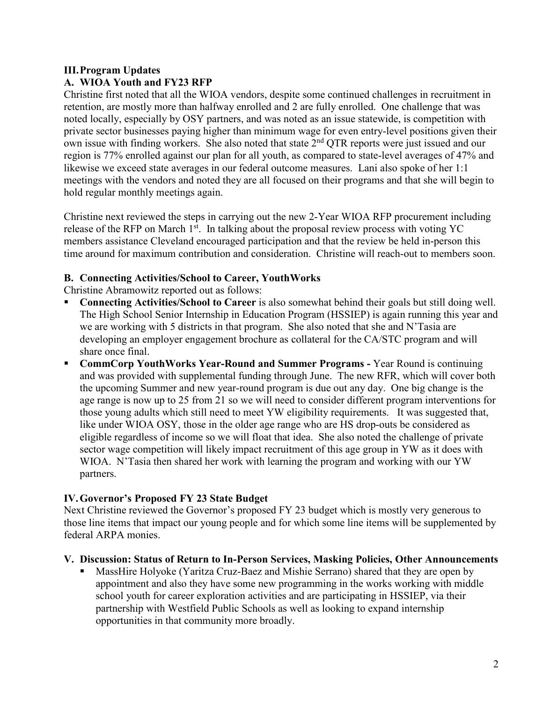### **III.Program Updates A. WIOA Youth and FY23 RFP**

Christine first noted that all the WIOA vendors, despite some continued challenges in recruitment in retention, are mostly more than halfway enrolled and 2 are fully enrolled. One challenge that was noted locally, especially by OSY partners, and was noted as an issue statewide, is competition with private sector businesses paying higher than minimum wage for even entry-level positions given their own issue with finding workers. She also noted that state  $2<sup>nd</sup> OTR$  reports were just issued and our region is 77% enrolled against our plan for all youth, as compared to state-level averages of 47% and likewise we exceed state averages in our federal outcome measures. Lani also spoke of her 1:1 meetings with the vendors and noted they are all focused on their programs and that she will begin to hold regular monthly meetings again.

Christine next reviewed the steps in carrying out the new 2-Year WIOA RFP procurement including release of the RFP on March  $1<sup>st</sup>$ . In talking about the proposal review process with voting YC members assistance Cleveland encouraged participation and that the review be held in-person this time around for maximum contribution and consideration. Christine will reach-out to members soon.

# **B. Connecting Activities/School to Career, YouthWorks**

- Christine Abramowitz reported out as follows:
- **Connecting Activities/School to Career** is also somewhat behind their goals but still doing well. The High School Senior Internship in Education Program (HSSIEP) is again running this year and we are working with 5 districts in that program. She also noted that she and N'Tasia are developing an employer engagement brochure as collateral for the CA/STC program and will share once final.
- **CommCorp YouthWorks Year-Round and Summer Programs -** Year Round is continuing and was provided with supplemental funding through June. The new RFR, which will cover both the upcoming Summer and new year-round program is due out any day. One big change is the age range is now up to 25 from 21 so we will need to consider different program interventions for those young adults which still need to meet YW eligibility requirements. It was suggested that, like under WIOA OSY, those in the older age range who are HS drop-outs be considered as eligible regardless of income so we will float that idea. She also noted the challenge of private sector wage competition will likely impact recruitment of this age group in YW as it does with WIOA. N'Tasia then shared her work with learning the program and working with our YW partners.

# **IV.Governor's Proposed FY 23 State Budget**

Next Christine reviewed the Governor's proposed FY 23 budget which is mostly very generous to those line items that impact our young people and for which some line items will be supplemented by federal ARPA monies.

## **V. Discussion: Status of Return to In-Person Services, Masking Policies, Other Announcements**

 MassHire Holyoke (Yaritza Cruz-Baez and Mishie Serrano) shared that they are open by appointment and also they have some new programming in the works working with middle school youth for career exploration activities and are participating in HSSIEP, via their partnership with Westfield Public Schools as well as looking to expand internship opportunities in that community more broadly.